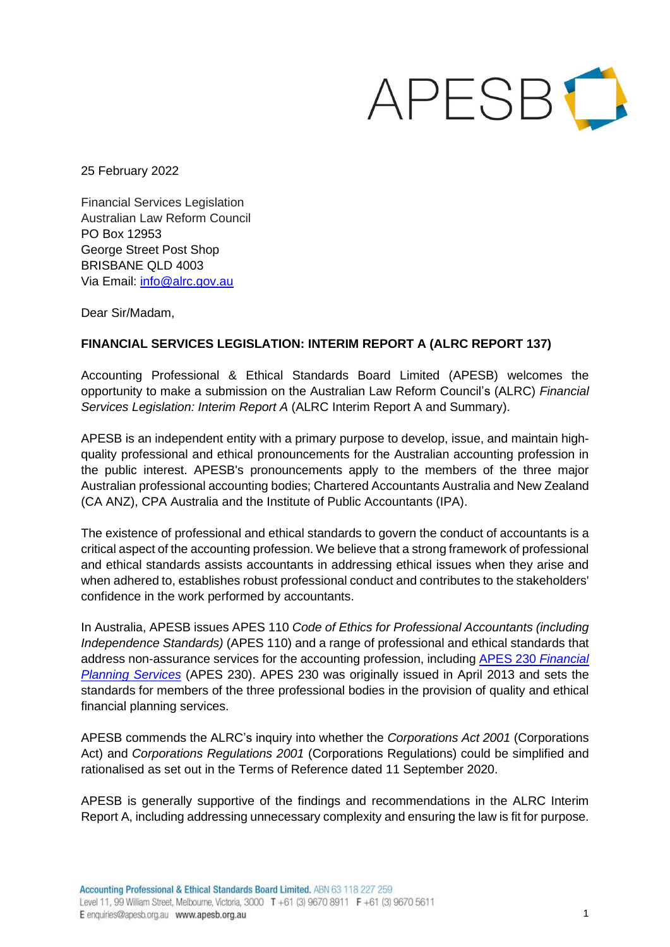

25 February 2022

Financial Services Legislation Australian Law Reform Council PO Box 12953 George Street Post Shop BRISBANE QLD 4003 Via Email: info@alrc.gov.au

Dear Sir/Madam,

## **FINANCIAL SERVICES LEGISLATION: INTERIM REPORT A (ALRC REPORT 137)**

Accounting Professional & Ethical Standards Board Limited (APESB) welcomes the opportunity to make a submission on the Australian Law Reform Council's (ALRC) *Financial Services Legislation: Interim Report A* (ALRC Interim Report A and Summary).

APESB is an independent entity with a primary purpose to develop, issue, and maintain highquality professional and ethical pronouncements for the Australian accounting profession in the public interest. APESB's pronouncements apply to the members of the three major Australian professional accounting bodies; Chartered Accountants Australia and New Zealand (CA ANZ), CPA Australia and the Institute of Public Accountants (IPA).

The existence of professional and ethical standards to govern the conduct of accountants is a critical aspect of the accounting profession. We believe that a strong framework of professional and ethical standards assists accountants in addressing ethical issues when they arise and when adhered to, establishes robust professional conduct and contributes to the stakeholders' confidence in the work performed by accountants.

In Australia, APESB issues APES 110 *Code of Ethics for Professional Accountants (including Independence Standards)* (APES 110) and a range of professional and ethical standards that address non-assurance services for the accounting profession, including APES 230 *Financial Planning Services* (APES 230). APES 230 was originally issued in April 2013 and sets the standards for members of the three professional bodies in the provision of quality and ethical financial planning services.

APESB commends the ALRC's inquiry into whether the *Corporations Act 2001* (Corporations Act) and *Corporations Regulations 2001* (Corporations Regulations) could be simplified and rationalised as set out in the Terms of Reference dated 11 September 2020.

APESB is generally supportive of the findings and recommendations in the ALRC Interim Report A, including addressing unnecessary complexity and ensuring the law is fit for purpose.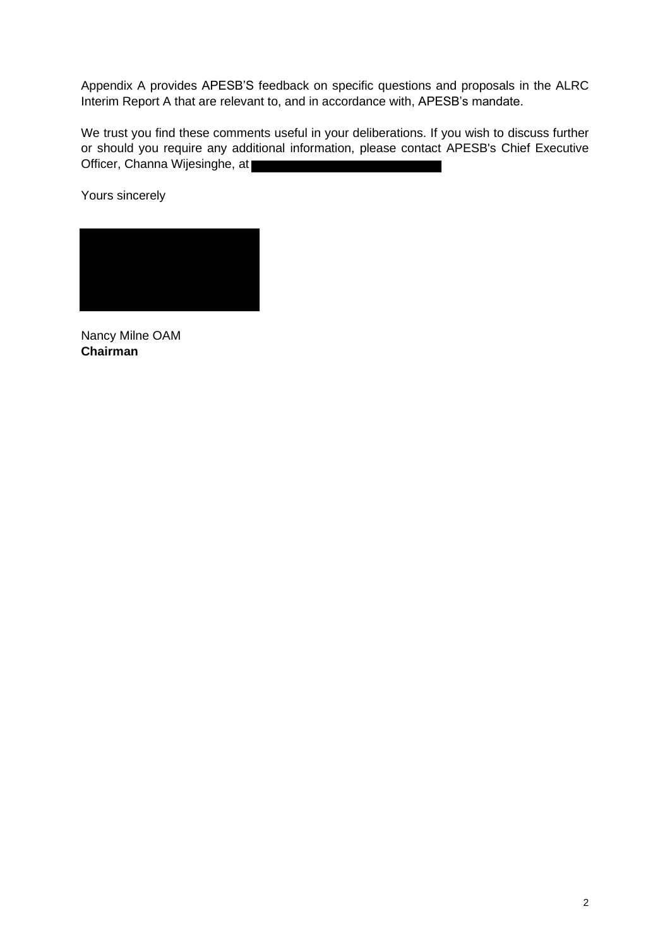Appendix A provides APESB'S feedback on specific questions and proposals in the ALRC Interim Report A that are relevant to, and in accordance with, APESB's mandate.

We trust you find these comments useful in your deliberations. If you wish to discuss further or should you require any additional information, please contact APESB's Chief Executive Officer, Channa Wijesinghe, at

Yours sincerely

Nancy Milne OAM **Chairman**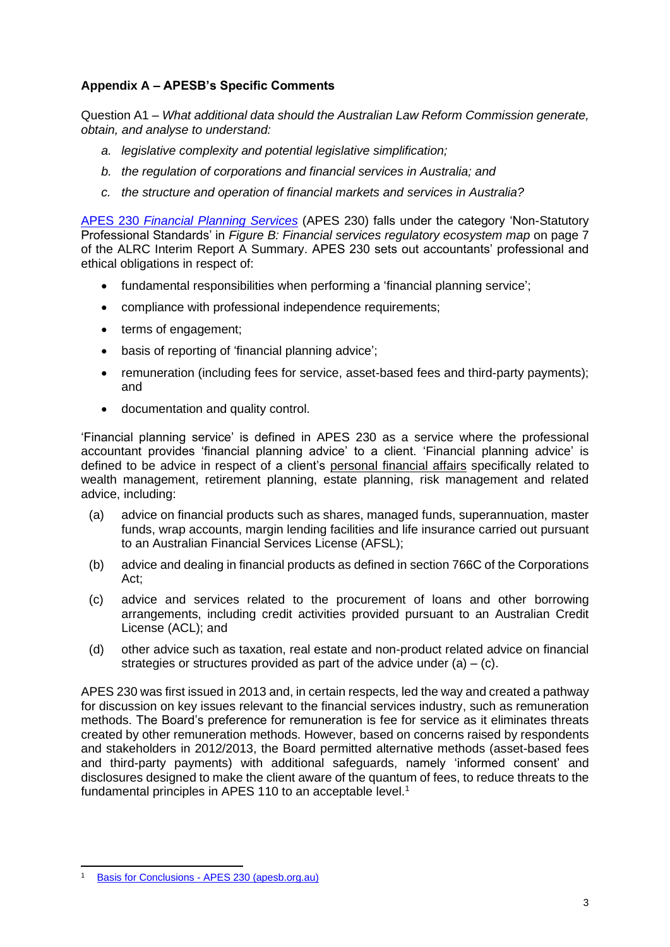## **Appendix A – APESB's Specific Comments**

Question A1 – *What additional data should the Australian Law Reform Commission generate, obtain, and analyse to understand:*

- *a. legislative complexity and potential legislative simplification;*
- *b. the regulation of corporations and financial services in Australia; and*
- *c. the structure and operation of financial markets and services in Australia?*

APES 230 *Financial Planning Services* (APES 230) falls under the category 'Non-Statutory Professional Standards' in *Figure B: Financial services regulatory ecosystem map* on page 7 of the ALRC Interim Report A Summary. APES 230 sets out accountants' professional and ethical obligations in respect of:

- fundamental responsibilities when performing a 'financial planning service';
- compliance with professional independence requirements;
- terms of engagement;
- basis of reporting of 'financial planning advice';
- remuneration (including fees for service, asset-based fees and third-party payments); and
- documentation and quality control.

'Financial planning service' is defined in APES 230 as a service where the professional accountant provides 'financial planning advice' to a client. 'Financial planning advice' is defined to be advice in respect of a client's personal financial affairs specifically related to wealth management, retirement planning, estate planning, risk management and related advice, including:

- (a) advice on financial products such as shares, managed funds, superannuation, master funds, wrap accounts, margin lending facilities and life insurance carried out pursuant to an Australian Financial Services License (AFSL);
- (b) advice and dealing in financial products as defined in section 766C of the Corporations Act;
- (c) advice and services related to the procurement of loans and other borrowing arrangements, including credit activities provided pursuant to an Australian Credit License (ACL); and
- (d) other advice such as taxation, real estate and non-product related advice on financial strategies or structures provided as part of the advice under  $(a) - (c)$ .

APES 230 was first issued in 2013 and, in certain respects, led the way and created a pathway for discussion on key issues relevant to the financial services industry, such as remuneration methods. The Board's preference for remuneration is fee for service as it eliminates threats created by other remuneration methods. However, based on concerns raised by respondents and stakeholders in 2012/2013, the Board permitted alternative methods (asset-based fees and third-party payments) with additional safeguards, namely 'informed consent' and disclosures designed to make the client aware of the quantum of fees, to reduce threats to the fundamental principles in APES 110 to an acceptable level.<sup>1</sup>

Basis for Conclusions - APES 230 (apesb.org.au)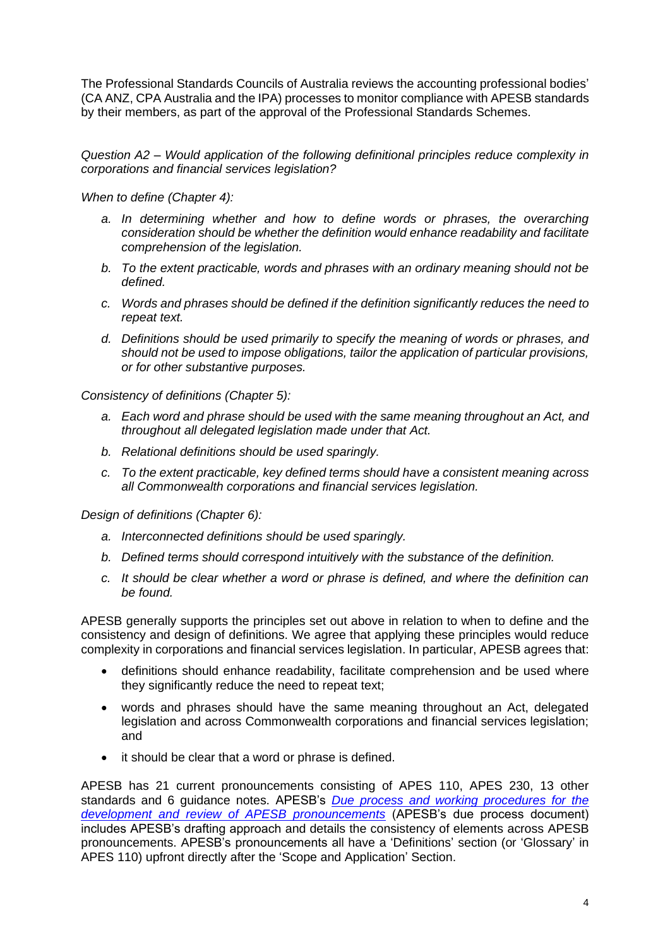The Professional Standards Councils of Australia reviews the accounting professional bodies' (CA ANZ, CPA Australia and the IPA) processes to monitor compliance with APESB standards by their members, as part of the approval of the Professional Standards Schemes.

*Question A2 – Would application of the following definitional principles reduce complexity in corporations and financial services legislation?*

*When to define (Chapter 4):*

- *a. In determining whether and how to define words or phrases, the overarching consideration should be whether the definition would enhance readability and facilitate comprehension of the legislation.*
- *b. To the extent practicable, words and phrases with an ordinary meaning should not be defined.*
- *c. Words and phrases should be defined if the definition significantly reduces the need to repeat text.*
- *d. Definitions should be used primarily to specify the meaning of words or phrases, and should not be used to impose obligations, tailor the application of particular provisions, or for other substantive purposes.*

*Consistency of definitions (Chapter 5):*

- *a. Each word and phrase should be used with the same meaning throughout an Act, and throughout all delegated legislation made under that Act.*
- *b. Relational definitions should be used sparingly.*
- *c. To the extent practicable, key defined terms should have a consistent meaning across all Commonwealth corporations and financial services legislation.*

*Design of definitions (Chapter 6):*

- *a. Interconnected definitions should be used sparingly.*
- *b. Defined terms should correspond intuitively with the substance of the definition.*
- *c. It should be clear whether a word or phrase is defined, and where the definition can be found.*

APESB generally supports the principles set out above in relation to when to define and the consistency and design of definitions. We agree that applying these principles would reduce complexity in corporations and financial services legislation. In particular, APESB agrees that:

- definitions should enhance readability, facilitate comprehension and be used where they significantly reduce the need to repeat text;
- words and phrases should have the same meaning throughout an Act, delegated legislation and across Commonwealth corporations and financial services legislation; and
- it should be clear that a word or phrase is defined.

APESB has 21 current pronouncements consisting of APES 110, APES 230, 13 other standards and 6 guidance notes. APESB's *Due process and working procedures for the development and review of APESB pronouncements* (APESB's due process document) includes APESB's drafting approach and details the consistency of elements across APESB pronouncements. APESB's pronouncements all have a 'Definitions' section (or 'Glossary' in APES 110) upfront directly after the 'Scope and Application' Section.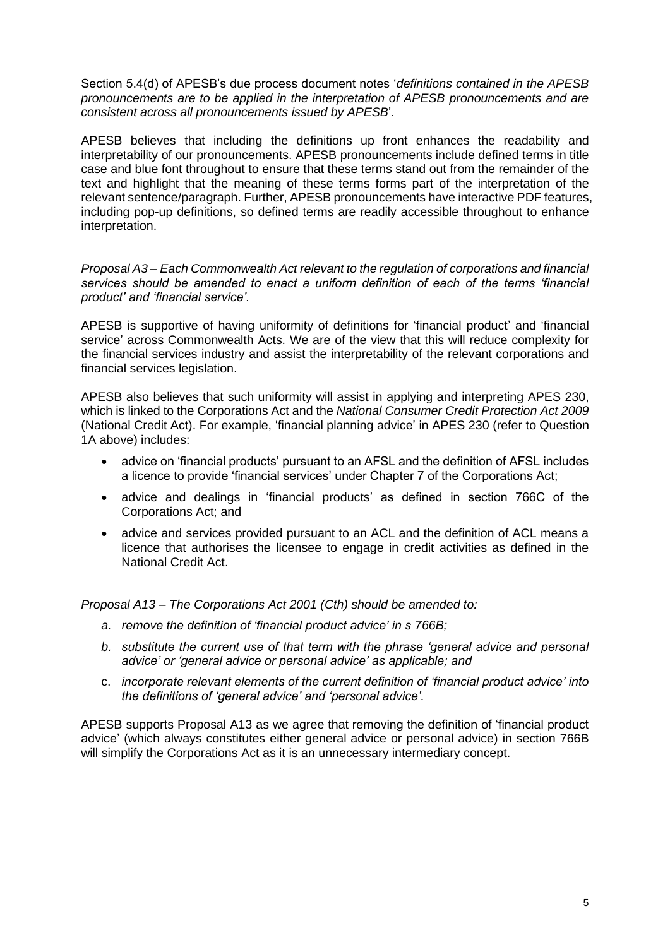Section 5.4(d) of APESB's due process document notes '*definitions contained in the APESB pronouncements are to be applied in the interpretation of APESB pronouncements and are consistent across all pronouncements issued by APESB*'.

APESB believes that including the definitions up front enhances the readability and interpretability of our pronouncements. APESB pronouncements include defined terms in title case and blue font throughout to ensure that these terms stand out from the remainder of the text and highlight that the meaning of these terms forms part of the interpretation of the relevant sentence/paragraph. Further, APESB pronouncements have interactive PDF features, including pop-up definitions, so defined terms are readily accessible throughout to enhance interpretation.

*Proposal A3 – Each Commonwealth Act relevant to the regulation of corporations and financial services should be amended to enact a uniform definition of each of the terms 'financial product' and 'financial service'.*

APESB is supportive of having uniformity of definitions for 'financial product' and 'financial service' across Commonwealth Acts. We are of the view that this will reduce complexity for the financial services industry and assist the interpretability of the relevant corporations and financial services legislation.

APESB also believes that such uniformity will assist in applying and interpreting APES 230, which is linked to the Corporations Act and the *National Consumer Credit Protection Act 2009* (National Credit Act). For example, 'financial planning advice' in APES 230 (refer to Question 1A above) includes:

- advice on 'financial products' pursuant to an AFSL and the definition of AFSL includes a licence to provide 'financial services' under Chapter 7 of the Corporations Act;
- advice and dealings in 'financial products' as defined in section 766C of the Corporations Act; and
- advice and services provided pursuant to an ACL and the definition of ACL means a licence that authorises the licensee to engage in credit activities as defined in the National Credit Act.

*Proposal A13 – The Corporations Act 2001 (Cth) should be amended to:*

- *a. remove the definition of 'financial product advice' in s 766B;*
- *b. substitute the current use of that term with the phrase 'general advice and personal advice' or 'general advice or personal advice' as applicable; and*
- c. *incorporate relevant elements of the current definition of 'financial product advice' into the definitions of 'general advice' and 'personal advice'.*

APESB supports Proposal A13 as we agree that removing the definition of 'financial product advice' (which always constitutes either general advice or personal advice) in section 766B will simplify the Corporations Act as it is an unnecessary intermediary concept.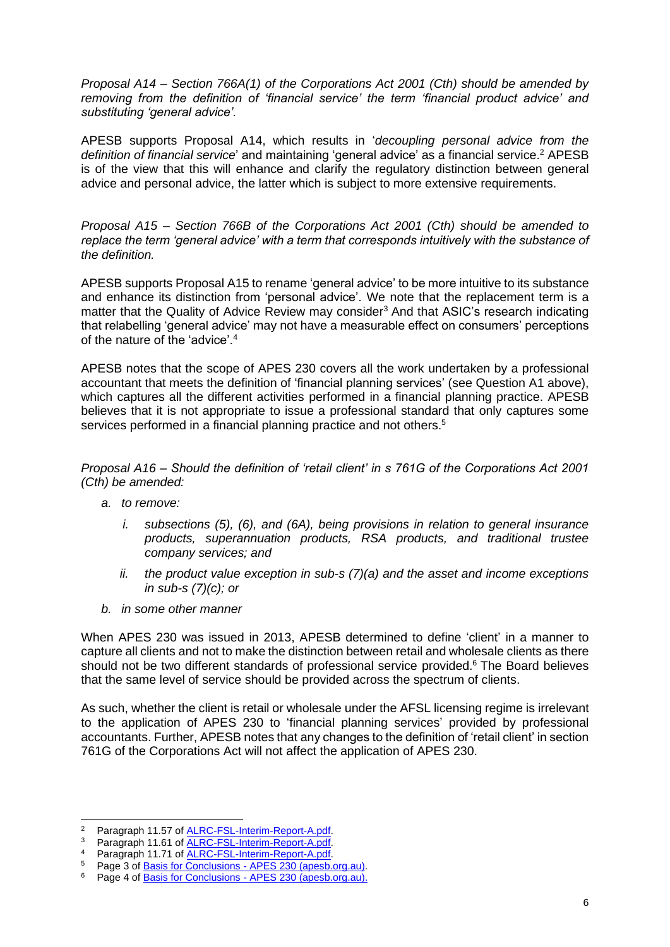*Proposal A14 – Section 766A(1) of the Corporations Act 2001 (Cth) should be amended by removing from the definition of 'financial service' the term 'financial product advice' and substituting 'general advice'.*

APESB supports Proposal A14, which results in '*decoupling personal advice from the definition of financial service*' and maintaining 'general advice' as a financial service. <sup>2</sup> APESB is of the view that this will enhance and clarify the regulatory distinction between general advice and personal advice, the latter which is subject to more extensive requirements.

*Proposal A15 – Section 766B of the Corporations Act 2001 (Cth) should be amended to replace the term 'general advice' with a term that corresponds intuitively with the substance of the definition.*

APESB supports Proposal A15 to rename 'general advice' to be more intuitive to its substance and enhance its distinction from 'personal advice'. We note that the replacement term is a matter that the Quality of Advice Review may consider<sup>3</sup> And that ASIC's research indicating that relabelling 'general advice' may not have a measurable effect on consumers' perceptions of the nature of the 'advice'.<sup>4</sup>

APESB notes that the scope of APES 230 covers all the work undertaken by a professional accountant that meets the definition of 'financial planning services' (see Question A1 above), which captures all the different activities performed in a financial planning practice. APESB believes that it is not appropriate to issue a professional standard that only captures some services performed in a financial planning practice and not others.<sup>5</sup>

*Proposal A16 – Should the definition of 'retail client' in s 761G of the Corporations Act 2001 (Cth) be amended:*

- *a. to remove:*
	- *i. subsections (5), (6), and (6A), being provisions in relation to general insurance products, superannuation products, RSA products, and traditional trustee company services; and*
	- *ii. the product value exception in sub-s (7)(a) and the asset and income exceptions in sub-s (7)(c); or*
- *b. in some other manner*

When APES 230 was issued in 2013, APESB determined to define 'client' in a manner to capture all clients and not to make the distinction between retail and wholesale clients as there should not be two different standards of professional service provided.<sup>6</sup> The Board believes that the same level of service should be provided across the spectrum of clients.

As such, whether the client is retail or wholesale under the AFSL licensing regime is irrelevant to the application of APES 230 to 'financial planning services' provided by professional accountants. Further, APESB notes that any changes to the definition of 'retail client' in section 761G of the Corporations Act will not affect the application of APES 230.

<sup>&</sup>lt;sup>2</sup> Paragraph 11.57 of ALRC-FSL-Interim-Report-A.pdf.

<sup>&</sup>lt;sup>3</sup> Paragraph 11.61 of **ALRC-FSL-Interim-Report-A.pdf**.

<sup>4</sup> Paragraph 11.71 of ALRC-FSL-Interim-Report-A.pdf.

<sup>5</sup> Page 3 of Basis for Conclusions - APES 230 (apesb.org.au).

Page 4 of Basis for Conclusions - APES 230 (apesb.org.au).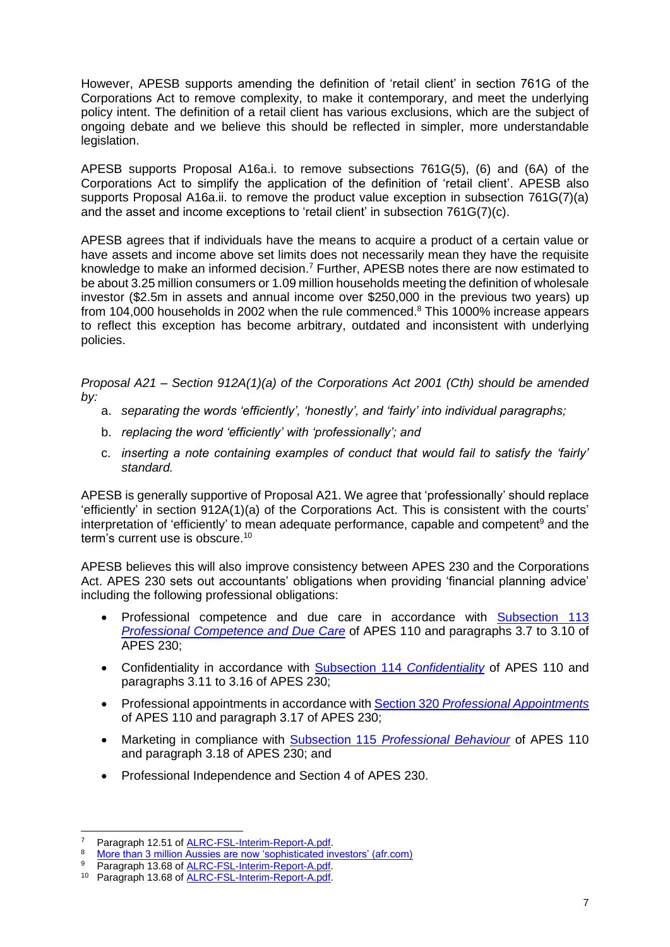However, APESB supports amending the definition of 'retail client' in section 761G of the Corporations Act to remove complexity, to make it contemporary, and meet the underlying policy intent. The definition of a retail client has various exclusions, which are the subject of ongoing debate and we believe this should be reflected in simpler, more understandable legislation.

APESB supports Proposal A16a.i. to remove subsections 761G(5), (6) and (6A) of the Corporations Act to simplify the application of the definition of 'retail client'. APESB also supports Proposal A16a.ii. to remove the product value exception in subsection 761G(7)(a) and the asset and income exceptions to 'retail client' in subsection 761G(7)(c).

APESB agrees that if individuals have the means to acquire a product of a certain value or have assets and income above set limits does not necessarily mean they have the requisite knowledge to make an informed decision.<sup>7</sup> Further, APESB notes there are now estimated to be about 3.25 million consumers or 1.09 million households meeting the definition of wholesale investor (\$2.5m in assets and annual income over \$250,000 in the previous two years) up from 104,000 households in 2002 when the rule commenced.<sup>8</sup> This 1000% increase appears to reflect this exception has become arbitrary, outdated and inconsistent with underlying policies.

*Proposal A21 – Section 912A(1)(a) of the Corporations Act 2001 (Cth) should be amended by:*

- a. *separating the words 'efficiently', 'honestly', and 'fairly' into individual paragraphs;*
- b. *replacing the word 'efficiently' with 'professionally'; and*
- c. *inserting a note containing examples of conduct that would fail to satisfy the 'fairly' standard.*

APESB is generally supportive of Proposal A21. We agree that 'professionally' should replace 'efficiently' in section 912A(1)(a) of the Corporations Act. This is consistent with the courts' interpretation of 'efficiently' to mean adequate performance, capable and competent<sup>9</sup> and the term's current use is obscure. 10

APESB believes this will also improve consistency between APES 230 and the Corporations Act. APES 230 sets out accountants' obligations when providing 'financial planning advice' including the following professional obligations:

- Professional competence and due care in accordance with Subsection 113 *Professional Competence and Due Care* of APES 110 and paragraphs 3.7 to 3.10 of APES 230;
- Confidentiality in accordance with Subsection 114 *Confidentiality* of APES 110 and paragraphs 3.11 to 3.16 of APES 230;
- Professional appointments in accordance with Section 320 *Professional Appointments* of APES 110 and paragraph 3.17 of APES 230;
- Marketing in compliance with Subsection 115 *Professional Behaviour* of APES 110 and paragraph 3.18 of APES 230; and
- Professional Independence and Section 4 of APES 230.

Paragraph 12.51 of ALRC-FSL-Interim-Report-A.pdf.

<sup>&</sup>lt;sup>8</sup> More than 3 million Aussies are now 'sophisticated investors' (afr.com)

Paragraph 13.68 of ALRC-FSL-Interim-Report-A.pdf.

<sup>10</sup> Paragraph 13.68 of ALRC-FSL-Interim-Report-A.pdf.